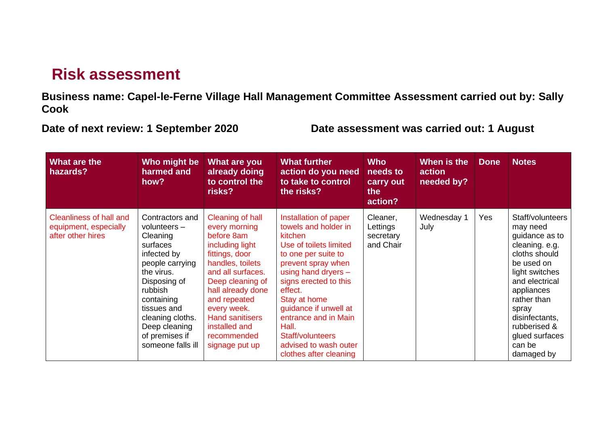## **Risk assessment**

**Business name: Capel-le-Ferne Village Hall Management Committee Assessment carried out by: Sally Cook**

**Date of next review: 1 September 2020 Date assessment was carried out: 1 August**

| What are the<br>hazards?                                                     | Who might be<br>harmed and<br>how?                                                                                                                                                                                                            | What are you<br>already doing<br>to control the<br>risks?                                                                                                                                                                                                                         | <b>What further</b><br>action do you need<br>to take to control<br>the risks?                                                                                                                                                                                                                                                               | <b>Who</b><br>needs to<br>carry out<br>the<br>action? | When is the<br>action<br>needed by? | <b>Done</b> | <b>Notes</b>                                                                                                                                                                                                                                          |
|------------------------------------------------------------------------------|-----------------------------------------------------------------------------------------------------------------------------------------------------------------------------------------------------------------------------------------------|-----------------------------------------------------------------------------------------------------------------------------------------------------------------------------------------------------------------------------------------------------------------------------------|---------------------------------------------------------------------------------------------------------------------------------------------------------------------------------------------------------------------------------------------------------------------------------------------------------------------------------------------|-------------------------------------------------------|-------------------------------------|-------------|-------------------------------------------------------------------------------------------------------------------------------------------------------------------------------------------------------------------------------------------------------|
| <b>Cleanliness of hall and</b><br>equipment, especially<br>after other hires | Contractors and<br>volunteers $-$<br>Cleaning<br>surfaces<br>infected by<br>people carrying<br>the virus.<br>Disposing of<br>rubbish<br>containing<br>tissues and<br>cleaning cloths.<br>Deep cleaning<br>of premises if<br>someone falls ill | Cleaning of hall<br>every morning<br>before 8am<br>including light<br>fittings, door<br>handles, toilets<br>and all surfaces.<br>Deep cleaning of<br>hall already done<br>and repeated<br>every week.<br><b>Hand sanitisers</b><br>installed and<br>recommended<br>signage put up | Installation of paper<br>towels and holder in<br>kitchen<br>Use of toilets limited<br>to one per suite to<br>prevent spray when<br>using hand dryers -<br>signs erected to this<br>effect.<br>Stay at home<br>guidance if unwell at<br>entrance and in Main<br>Hall.<br>Staff/volunteers<br>advised to wash outer<br>clothes after cleaning | Cleaner,<br>Lettings<br>secretary<br>and Chair        | Wednesday 1<br>July                 | Yes         | Staff/volunteers<br>may need<br>guidance as to<br>cleaning. e.g.<br>cloths should<br>be used on<br>light switches<br>and electrical<br>appliances<br>rather than<br>spray<br>disinfectants,<br>rubberised &<br>glued surfaces<br>can be<br>damaged by |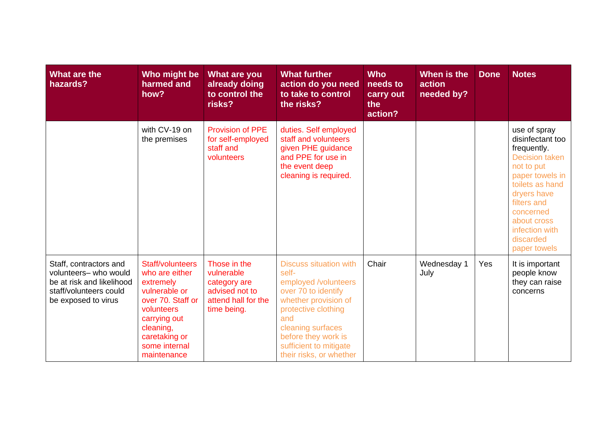| What are the<br>hazards?                                                                                                      | Who might be<br>harmed and<br>how?                                                                                                                                                | What are you<br>already doing<br>to control the<br>risks?                                          | <b>What further</b><br>action do you need<br>to take to control<br>the risks?                                                                                                                                                                | <b>Who</b><br>needs to<br>carry out<br>the<br>action? | When is the<br>action<br>needed by? | <b>Done</b> | <b>Notes</b>                                                                                                                                                                                                                          |
|-------------------------------------------------------------------------------------------------------------------------------|-----------------------------------------------------------------------------------------------------------------------------------------------------------------------------------|----------------------------------------------------------------------------------------------------|----------------------------------------------------------------------------------------------------------------------------------------------------------------------------------------------------------------------------------------------|-------------------------------------------------------|-------------------------------------|-------------|---------------------------------------------------------------------------------------------------------------------------------------------------------------------------------------------------------------------------------------|
|                                                                                                                               | with CV-19 on<br>the premises                                                                                                                                                     | <b>Provision of PPE</b><br>for self-employed<br>staff and<br>volunteers                            | duties. Self employed<br>staff and volunteers<br>given PHE guidance<br>and PPE for use in<br>the event deep<br>cleaning is required.                                                                                                         |                                                       |                                     |             | use of spray<br>disinfectant too<br>frequently.<br><b>Decision taken</b><br>not to put<br>paper towels in<br>toilets as hand<br>dryers have<br>filters and<br>concerned<br>about cross<br>infection with<br>discarded<br>paper towels |
| Staff, contractors and<br>volunteers- who would<br>be at risk and likelihood<br>staff/volunteers could<br>be exposed to virus | Staff/volunteers<br>who are either<br>extremely<br>vulnerable or<br>over 70. Staff or<br>volunteers<br>carrying out<br>cleaning,<br>caretaking or<br>some internal<br>maintenance | Those in the<br>vulnerable<br>category are<br>advised not to<br>attend hall for the<br>time being. | <b>Discuss situation with</b><br>self-<br>employed /volunteers<br>over 70 to identify<br>whether provision of<br>protective clothing<br>and<br>cleaning surfaces<br>before they work is<br>sufficient to mitigate<br>their risks, or whether | Chair                                                 | Wednesday 1<br>July                 | Yes         | It is important<br>people know<br>they can raise<br>concerns                                                                                                                                                                          |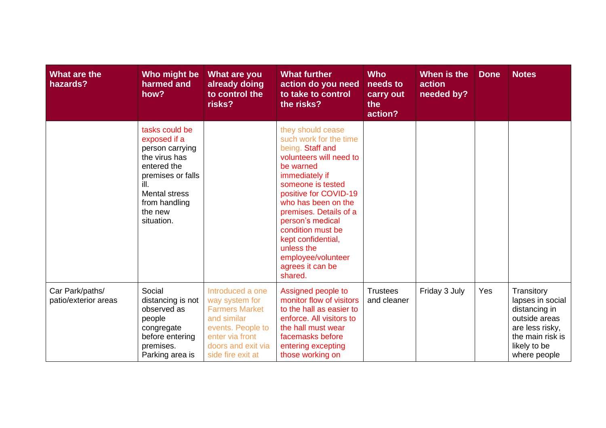| What are the<br>hazards?                | Who might be<br>harmed and<br>how?                                                                                                                                               | <b>What are you</b><br>already doing<br>to control the<br>risks?                                                                                              | <b>What further</b><br>action do you need<br>to take to control<br>the risks?                                                                                                                                                                                                                                                                              | <b>Who</b><br>needs to<br>carry out<br>the<br>action? | When is the<br>action<br>needed by? | <b>Done</b> | <b>Notes</b>                                                                                                                            |
|-----------------------------------------|----------------------------------------------------------------------------------------------------------------------------------------------------------------------------------|---------------------------------------------------------------------------------------------------------------------------------------------------------------|------------------------------------------------------------------------------------------------------------------------------------------------------------------------------------------------------------------------------------------------------------------------------------------------------------------------------------------------------------|-------------------------------------------------------|-------------------------------------|-------------|-----------------------------------------------------------------------------------------------------------------------------------------|
|                                         | tasks could be<br>exposed if a<br>person carrying<br>the virus has<br>entered the<br>premises or falls<br>ill.<br><b>Mental stress</b><br>from handling<br>the new<br>situation. |                                                                                                                                                               | they should cease<br>such work for the time<br>being. Staff and<br>volunteers will need to<br>be warned<br>immediately if<br>someone is tested<br>positive for COVID-19<br>who has been on the<br>premises. Details of a<br>person's medical<br>condition must be<br>kept confidential,<br>unless the<br>employee/volunteer<br>agrees it can be<br>shared. |                                                       |                                     |             |                                                                                                                                         |
| Car Park/paths/<br>patio/exterior areas | Social<br>distancing is not<br>observed as<br>people<br>congregate<br>before entering<br>premises.<br>Parking area is                                                            | Introduced a one<br>way system for<br><b>Farmers Market</b><br>and similar<br>events. People to<br>enter via front<br>doors and exit via<br>side fire exit at | Assigned people to<br>monitor flow of visitors<br>to the hall as easier to<br>enforce. All visitors to<br>the hall must wear<br>facemasks before<br>entering excepting<br>those working on                                                                                                                                                                 | <b>Trustees</b><br>and cleaner                        | Friday 3 July                       | Yes         | Transitory<br>lapses in social<br>distancing in<br>outside areas<br>are less risky,<br>the main risk is<br>likely to be<br>where people |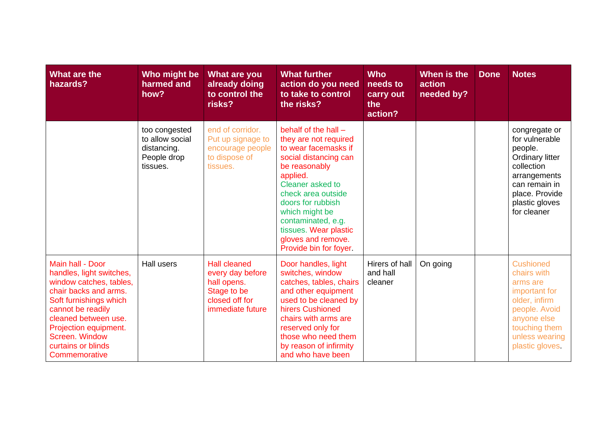| What are the<br>hazards?                                                                                                                                                                                                                                  | Who might be<br>harmed and<br>how?                                         | What are you<br>already doing<br>to control the<br>risks?                                                   | <b>What further</b><br>action do you need<br>to take to control<br>the risks?                                                                                                                                                                                                                                 | <b>Who</b><br>needs to<br>carry out<br>the<br>action? | When is the<br>action<br>needed by? | <b>Done</b> | <b>Notes</b>                                                                                                                                                           |
|-----------------------------------------------------------------------------------------------------------------------------------------------------------------------------------------------------------------------------------------------------------|----------------------------------------------------------------------------|-------------------------------------------------------------------------------------------------------------|---------------------------------------------------------------------------------------------------------------------------------------------------------------------------------------------------------------------------------------------------------------------------------------------------------------|-------------------------------------------------------|-------------------------------------|-------------|------------------------------------------------------------------------------------------------------------------------------------------------------------------------|
|                                                                                                                                                                                                                                                           | too congested<br>to allow social<br>distancing.<br>People drop<br>tissues. | end of corridor.<br>Put up signage to<br>encourage people<br>to dispose of<br>tissues.                      | behalf of the hall $-$<br>they are not required<br>to wear facemasks if<br>social distancing can<br>be reasonably<br>applied.<br>Cleaner asked to<br>check area outside<br>doors for rubbish<br>which might be<br>contaminated, e.g.<br>tissues. Wear plastic<br>gloves and remove.<br>Provide bin for foyer. |                                                       |                                     |             | congregate or<br>for vulnerable<br>people.<br><b>Ordinary litter</b><br>collection<br>arrangements<br>can remain in<br>place. Provide<br>plastic gloves<br>for cleaner |
| Main hall - Door<br>handles, light switches,<br>window catches, tables,<br>chair backs and arms.<br>Soft furnishings which<br>cannot be readily<br>cleaned between use.<br>Projection equipment.<br>Screen. Window<br>curtains or blinds<br>Commemorative | <b>Hall users</b>                                                          | <b>Hall cleaned</b><br>every day before<br>hall opens.<br>Stage to be<br>closed off for<br>immediate future | Door handles, light<br>switches, window<br>catches, tables, chairs<br>and other equipment<br>used to be cleaned by<br>hirers Cushioned<br>chairs with arms are<br>reserved only for<br>those who need them<br>by reason of infirmity<br>and who have been                                                     | Hirers of hall<br>and hall<br>cleaner                 | On going                            |             | <b>Cushioned</b><br>chairs with<br>arms are<br>important for<br>older, infirm<br>people. Avoid<br>anyone else<br>touching them<br>unless wearing<br>plastic gloves.    |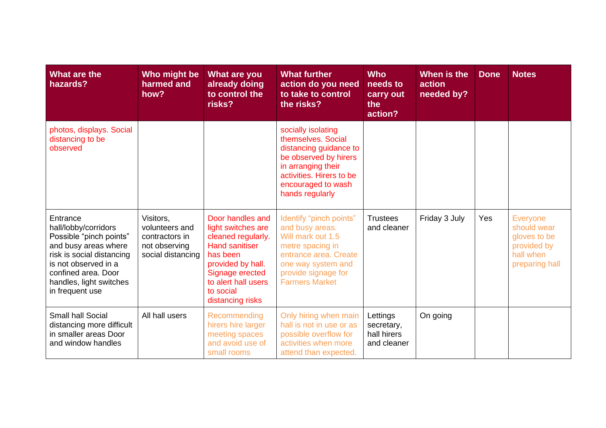| What are the<br>hazards?                                                                                                                                                                                      | Who might be<br>harmed and<br>how?                                                  | What are you<br>already doing<br>to control the<br>risks?                                                                                                                                         | <b>What further</b><br>action do you need<br>to take to control<br>the risks?                                                                                                          | <b>Who</b><br>needs to<br>carry out<br>the<br>action? | When is the<br>action<br>needed by? | <b>Done</b> | <b>Notes</b>                                                                                 |
|---------------------------------------------------------------------------------------------------------------------------------------------------------------------------------------------------------------|-------------------------------------------------------------------------------------|---------------------------------------------------------------------------------------------------------------------------------------------------------------------------------------------------|----------------------------------------------------------------------------------------------------------------------------------------------------------------------------------------|-------------------------------------------------------|-------------------------------------|-------------|----------------------------------------------------------------------------------------------|
| photos, displays. Social<br>distancing to be<br>observed                                                                                                                                                      |                                                                                     |                                                                                                                                                                                                   | socially isolating<br>themselves. Social<br>distancing guidance to<br>be observed by hirers<br>in arranging their<br>activities. Hirers to be<br>encouraged to wash<br>hands regularly |                                                       |                                     |             |                                                                                              |
| Entrance<br>hall/lobby/corridors<br>Possible "pinch points"<br>and busy areas where<br>risk is social distancing<br>is not observed in a<br>confined area. Door<br>handles, light switches<br>in frequent use | Visitors,<br>volunteers and<br>contractors in<br>not observing<br>social distancing | Door handles and<br>light switches are<br>cleaned regularly.<br><b>Hand sanitiser</b><br>has been<br>provided by hall.<br>Signage erected<br>to alert hall users<br>to social<br>distancing risks | Identify "pinch points"<br>and busy areas.<br>Will mark out 1.5<br>metre spacing in<br>entrance area. Create<br>one way system and<br>provide signage for<br><b>Farmers Market</b>     | <b>Trustees</b><br>and cleaner                        | Friday 3 July                       | Yes         | <b>Everyone</b><br>should wear<br>gloves to be<br>provided by<br>hall when<br>preparing hall |
| <b>Small hall Social</b><br>distancing more difficult<br>in smaller areas Door<br>and window handles                                                                                                          | All hall users                                                                      | Recommending<br>hirers hire larger<br>meeting spaces<br>and avoid use of<br>small rooms                                                                                                           | Only hiring when main<br>hall is not in use or as<br>possible overflow for<br>activities when more<br>attend than expected.                                                            | Lettings<br>secretary,<br>hall hirers<br>and cleaner  | On going                            |             |                                                                                              |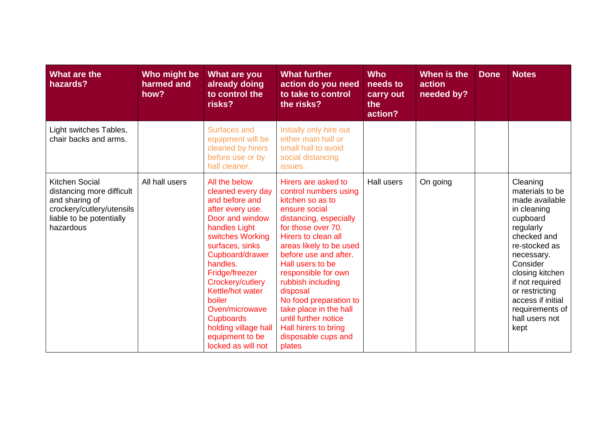| What are the<br>hazards?                                                                                                            | Who might be<br>harmed and<br>how? | What are you<br>already doing<br>to control the<br>risks?                                                                                                                                                                                                                                                                                                     | <b>What further</b><br>action do you need<br>to take to control<br>the risks?                                                                                                                                                                                                                                                                                                                                                 | <b>Who</b><br>needs to<br>carry out<br>the<br>action? | When is the<br>action<br>needed by? | <b>Done</b> | <b>Notes</b>                                                                                                                                                                                                                                                              |
|-------------------------------------------------------------------------------------------------------------------------------------|------------------------------------|---------------------------------------------------------------------------------------------------------------------------------------------------------------------------------------------------------------------------------------------------------------------------------------------------------------------------------------------------------------|-------------------------------------------------------------------------------------------------------------------------------------------------------------------------------------------------------------------------------------------------------------------------------------------------------------------------------------------------------------------------------------------------------------------------------|-------------------------------------------------------|-------------------------------------|-------------|---------------------------------------------------------------------------------------------------------------------------------------------------------------------------------------------------------------------------------------------------------------------------|
| Light switches Tables,<br>chair backs and arms.                                                                                     |                                    | Surfaces and<br>equipment will be<br>cleaned by hirers<br>before use or by<br>hall cleaner.                                                                                                                                                                                                                                                                   | Initially only hire out<br>either main hall or<br>small hall to avoid<br>social distancing<br>issues.                                                                                                                                                                                                                                                                                                                         |                                                       |                                     |             |                                                                                                                                                                                                                                                                           |
| Kitchen Social<br>distancing more difficult<br>and sharing of<br>crockery/cutlery/utensils<br>liable to be potentially<br>hazardous | All hall users                     | All the below<br>cleaned every day<br>and before and<br>after every use.<br>Door and window<br>handles Light<br>switches Working<br>surfaces, sinks<br>Cupboard/drawer<br>handles.<br>Fridge/freezer<br>Crockery/cutlery<br>Kettle/hot water<br>boiler<br>Oven/microwave<br><b>Cupboards</b><br>holding village hall<br>equipment to be<br>locked as will not | Hirers are asked to<br>control numbers using<br>kitchen so as to<br>ensure social<br>distancing, especially<br>for those over 70.<br>Hirers to clean all<br>areas likely to be used<br>before use and after.<br>Hall users to be<br>responsible for own<br>rubbish including<br>disposal<br>No food preparation to<br>take place in the hall<br>until further notice<br>Hall hirers to bring<br>disposable cups and<br>plates | Hall users                                            | On going                            |             | Cleaning<br>materials to be<br>made available<br>in cleaning<br>cupboard<br>regularly<br>checked and<br>re-stocked as<br>necessary.<br>Consider<br>closing kitchen<br>if not required<br>or restricting<br>access if initial<br>requirements of<br>hall users not<br>kept |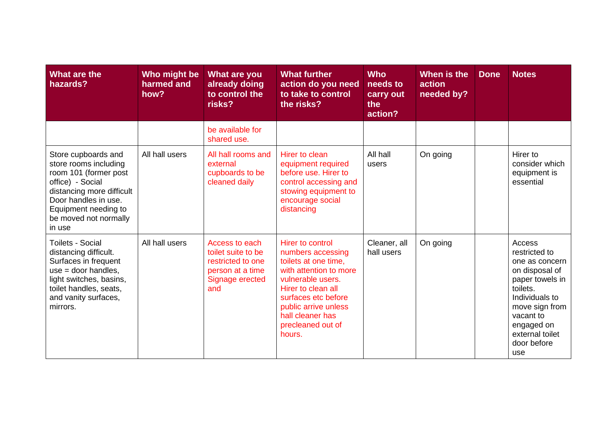| What are the<br>hazards?                                                                                                                                                                                  | Who might be<br>harmed and<br>how? | What are you<br>already doing<br>to control the<br>risks?                                               | <b>What further</b><br>action do you need<br>to take to control<br>the risks?                                                                                                                                                        | <b>Who</b><br>needs to<br>carry out<br>the<br>action? | When is the<br>action<br>needed by? | <b>Done</b> | <b>Notes</b>                                                                                                                                                                                       |
|-----------------------------------------------------------------------------------------------------------------------------------------------------------------------------------------------------------|------------------------------------|---------------------------------------------------------------------------------------------------------|--------------------------------------------------------------------------------------------------------------------------------------------------------------------------------------------------------------------------------------|-------------------------------------------------------|-------------------------------------|-------------|----------------------------------------------------------------------------------------------------------------------------------------------------------------------------------------------------|
|                                                                                                                                                                                                           |                                    | be available for<br>shared use.                                                                         |                                                                                                                                                                                                                                      |                                                       |                                     |             |                                                                                                                                                                                                    |
| Store cupboards and<br>store rooms including<br>room 101 (former post<br>office) - Social<br>distancing more difficult<br>Door handles in use.<br>Equipment needing to<br>be moved not normally<br>in use | All hall users                     | All hall rooms and<br>external<br>cupboards to be<br>cleaned daily                                      | Hirer to clean<br>equipment required<br>before use. Hirer to<br>control accessing and<br>stowing equipment to<br>encourage social<br>distancing                                                                                      | All hall<br>users                                     | On going                            |             | Hirer to<br>consider which<br>equipment is<br>essential                                                                                                                                            |
| <b>Toilets - Social</b><br>distancing difficult.<br>Surfaces in frequent<br>$use = door handles,$<br>light switches, basins,<br>toilet handles, seats,<br>and vanity surfaces,<br>mirrors.                | All hall users                     | Access to each<br>toilet suite to be<br>restricted to one<br>person at a time<br>Signage erected<br>and | Hirer to control<br>numbers accessing<br>toilets at one time,<br>with attention to more<br>vulnerable users.<br>Hirer to clean all<br>surfaces etc before<br>public arrive unless<br>hall cleaner has<br>precleaned out of<br>hours. | Cleaner, all<br>hall users                            | On going                            |             | Access<br>restricted to<br>one as concern<br>on disposal of<br>paper towels in<br>toilets.<br>Individuals to<br>move sign from<br>vacant to<br>engaged on<br>external toilet<br>door before<br>use |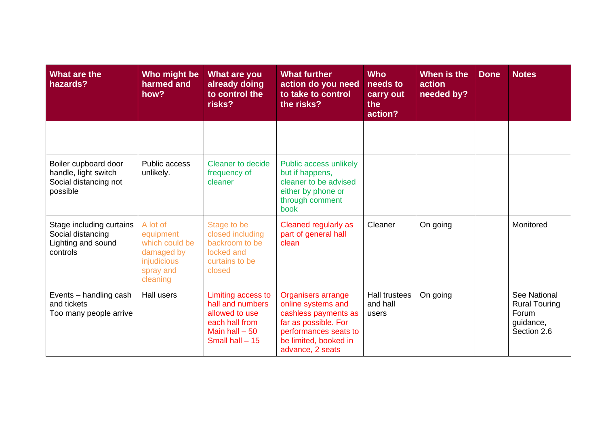| What are the<br>hazards?                                                          | Who might be<br>harmed and<br>how?                                                            | What are you<br>already doing<br>to control the<br>risks?                                                         | <b>What further</b><br>action do you need<br>to take to control<br>the risks?                                                                                  | <b>Who</b><br>needs to<br>carry out<br>the<br>action? | When is the<br>action<br>needed by? | <b>Done</b> | <b>Notes</b>                                                              |
|-----------------------------------------------------------------------------------|-----------------------------------------------------------------------------------------------|-------------------------------------------------------------------------------------------------------------------|----------------------------------------------------------------------------------------------------------------------------------------------------------------|-------------------------------------------------------|-------------------------------------|-------------|---------------------------------------------------------------------------|
|                                                                                   |                                                                                               |                                                                                                                   |                                                                                                                                                                |                                                       |                                     |             |                                                                           |
| Boiler cupboard door<br>handle, light switch<br>Social distancing not<br>possible | Public access<br>unlikely.                                                                    | <b>Cleaner to decide</b><br>frequency of<br>cleaner                                                               | Public access unlikely<br>but if happens,<br>cleaner to be advised<br>either by phone or<br>through comment<br>book                                            |                                                       |                                     |             |                                                                           |
| Stage including curtains<br>Social distancing<br>Lighting and sound<br>controls   | A lot of<br>equipment<br>which could be<br>damaged by<br>injudicious<br>spray and<br>cleaning | Stage to be<br>closed including<br>backroom to be<br>locked and<br>curtains to be<br>closed                       | Cleaned regularly as<br>part of general hall<br>clean                                                                                                          | Cleaner                                               | On going                            |             | Monitored                                                                 |
| Events - handling cash<br>and tickets<br>Too many people arrive                   | Hall users                                                                                    | Limiting access to<br>hall and numbers<br>allowed to use<br>each hall from<br>Main hall $-50$<br>Small hall $-15$ | Organisers arrange<br>online systems and<br>cashless payments as<br>far as possible. For<br>performances seats to<br>be limited, booked in<br>advance, 2 seats | <b>Hall trustees</b><br>and hall<br>users             | On going                            |             | See National<br><b>Rural Touring</b><br>Forum<br>guidance,<br>Section 2.6 |